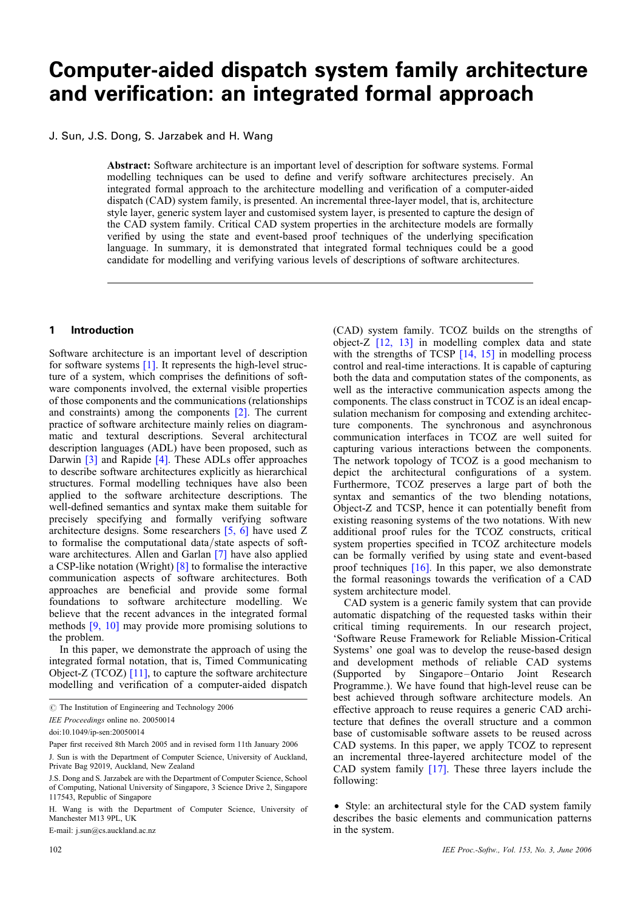# Computer-aided dispatch system family architecture and verification: an integrated formal approach

# J. Sun, J.S. Dong, S. Jarzabek and H. Wang

Abstract: Software architecture is an important level of description for software systems. Formal modelling techniques can be used to define and verify software architectures precisely. An integrated formal approach to the architecture modelling and verification of a computer-aided dispatch (CAD) system family, is presented. An incremental three-layer model, that is, architecture style layer, generic system layer and customised system layer, is presented to capture the design of the CAD system family. Critical CAD system properties in the architecture models are formally verified by using the state and event-based proof techniques of the underlying specification language. In summary, it is demonstrated that integrated formal techniques could be a good candidate for modelling and verifying various levels of descriptions of software architectures.

#### 1 Introduction

Software architecture is an important level of description for software systems [1]. It represents the high-level structure of a system, which comprises the definitions of software components involved, the external visible properties of those components and the communications (relationships and constraints) among the components [2]. The current practice of software architecture mainly relies on diagrammatic and textural descriptions. Several architectural description languages (ADL) have been proposed, such as Darwin [3] and Rapide [4]. These ADLs offer approaches to describe software architectures explicitly as hierarchical structures. Formal modelling techniques have also been applied to the software architecture descriptions. The well-defined semantics and syntax make them suitable for precisely specifying and formally verifying software architecture designs. Some researchers [5, 6] have used Z to formalise the computational data/state aspects of software architectures. Allen and Garlan [7] have also applied a CSP-like notation (Wright) [8] to formalise the interactive communication aspects of software architectures. Both approaches are beneficial and provide some formal foundations to software architecture modelling. We believe that the recent advances in the integrated formal methods [9, 10] may provide more promising solutions to the problem.

In this paper, we demonstrate the approach of using the integrated formal notation, that is, Timed Communicating Object-Z (TCOZ) [11], to capture the software architecture modelling and verification of a computer-aided dispatch

E-mail: j.sun@cs.auckland.ac.nz

(CAD) system family. TCOZ builds on the strengths of object-Z [12, 13] in modelling complex data and state with the strengths of TCSP [14, 15] in modelling process control and real-time interactions. It is capable of capturing both the data and computation states of the components, as well as the interactive communication aspects among the components. The class construct in TCOZ is an ideal encapsulation mechanism for composing and extending architecture components. The synchronous and asynchronous communication interfaces in TCOZ are well suited for capturing various interactions between the components. The network topology of TCOZ is a good mechanism to depict the architectural configurations of a system. Furthermore, TCOZ preserves a large part of both the syntax and semantics of the two blending notations, Object-Z and TCSP, hence it can potentially benefit from existing reasoning systems of the two notations. With new additional proof rules for the TCOZ constructs, critical system properties specified in TCOZ architecture models can be formally verified by using state and event-based proof techniques [16]. In this paper, we also demonstrate the formal reasonings towards the verification of a CAD system architecture model.

CAD system is a generic family system that can provide automatic dispatching of the requested tasks within their critical timing requirements. In our research project, 'Software Reuse Framework for Reliable Mission-Critical Systems' one goal was to develop the reuse-based design and development methods of reliable CAD systems<br>(Supported by Singapore–Ontario Joint Research  $(Supported \space by \space Signgape-Ontario$ Programme.). We have found that high-level reuse can be best achieved through software architecture models. An effective approach to reuse requires a generic CAD architecture that defines the overall structure and a common base of customisable software assets to be reused across CAD systems. In this paper, we apply TCOZ to represent an incremental three-layered architecture model of the CAD system family [17]. These three layers include the following:

• Style: an architectural style for the CAD system family describes the basic elements and communication patterns in the system.

 $\circ$  The Institution of Engineering and Technology 2006

IEE Proceedings online no. 20050014

doi:10.1049/ip-sen:20050014

Paper first received 8th March 2005 and in revised form 11th January 2006

J. Sun is with the Department of Computer Science, University of Auckland, Private Bag 92019, Auckland, New Zealand

J.S. Dong and S. Jarzabek are with the Department of Computer Science, School of Computing, National University of Singapore, 3 Science Drive 2, Singapore 117543, Republic of Singapore

H. Wang is with the Department of Computer Science, University of Manchester M13 9PL, UK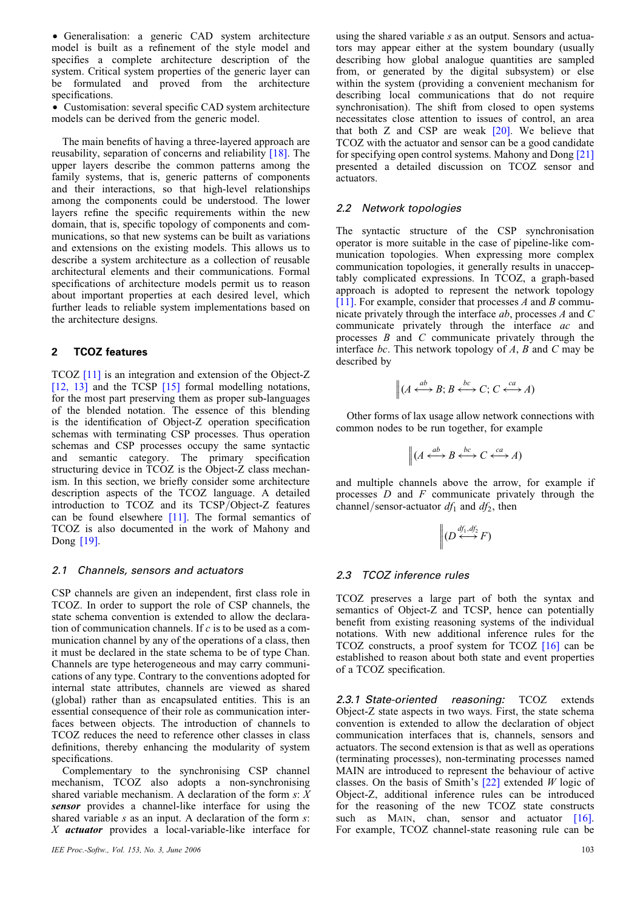• Generalisation: a generic CAD system architecture model is built as a refinement of the style model and specifies a complete architecture description of the system. Critical system properties of the generic layer can be formulated and proved from the architecture specifications.

† Customisation: several specific CAD system architecture models can be derived from the generic model.

The main benefits of having a three-layered approach are reusability, separation of concerns and reliability [18]. The upper layers describe the common patterns among the family systems, that is, generic patterns of components and their interactions, so that high-level relationships among the components could be understood. The lower layers refine the specific requirements within the new domain, that is, specific topology of components and communications, so that new systems can be built as variations and extensions on the existing models. This allows us to describe a system architecture as a collection of reusable architectural elements and their communications. Formal specifications of architecture models permit us to reason about important properties at each desired level, which further leads to reliable system implementations based on the architecture designs.

## 2 TCOZ features

TCOZ [11] is an integration and extension of the Object-Z [12, 13] and the TCSP [15] formal modelling notations, for the most part preserving them as proper sub-languages of the blended notation. The essence of this blending is the identification of Object-Z operation specification schemas with terminating CSP processes. Thus operation schemas and CSP processes occupy the same syntactic and semantic category. The primary specification structuring device in TCOZ is the Object-Z class mechanism. In this section, we briefly consider some architecture description aspects of the TCOZ language. A detailed introduction to TCOZ and its TCSP/Object-Z features can be found elsewhere [11]. The formal semantics of TCOZ is also documented in the work of Mahony and Dong [19].

#### 2.1 Channels, sensors and actuators

CSP channels are given an independent, first class role in TCOZ. In order to support the role of CSP channels, the state schema convention is extended to allow the declaration of communication channels. If  $c$  is to be used as a communication channel by any of the operations of a class, then it must be declared in the state schema to be of type Chan. Channels are type heterogeneous and may carry communications of any type. Contrary to the conventions adopted for internal state attributes, channels are viewed as shared (global) rather than as encapsulated entities. This is an essential consequence of their role as communication interfaces between objects. The introduction of channels to TCOZ reduces the need to reference other classes in class definitions, thereby enhancing the modularity of system specifications.

Complementary to the synchronising CSP channel mechanism, TCOZ also adopts a non-synchronising shared variable mechanism. A declaration of the form  $s: X$ sensor provides a channel-like interface for using the shared variable  $s$  as an input. A declaration of the form  $s$ : X actuator provides a local-variable-like interface for

using the shared variable s as an output. Sensors and actuators may appear either at the system boundary (usually describing how global analogue quantities are sampled from, or generated by the digital subsystem) or else within the system (providing a convenient mechanism for describing local communications that do not require synchronisation). The shift from closed to open systems necessitates close attention to issues of control, an area that both Z and CSP are weak [20]. We believe that TCOZ with the actuator and sensor can be a good candidate for specifying open control systems. Mahony and Dong [21] presented a detailed discussion on TCOZ sensor and actuators.

# 2.2 Network topologies

The syntactic structure of the CSP synchronisation operator is more suitable in the case of pipeline-like communication topologies. When expressing more complex communication topologies, it generally results in unacceptably complicated expressions. In TCOZ, a graph-based approach is adopted to represent the network topology [11]. For example, consider that processes  $A$  and  $B$  communicate privately through the interface ab, processes A and C communicate privately through the interface ac and processes  $B$  and  $C$  communicate privately through the interface bc. This network topology of  $A$ ,  $B$  and  $C$  may be described by

$$
\| (A \xleftrightarrow{ab} B; B \xleftrightarrow{bc} C; C \xleftrightarrow{ca} A)
$$

Other forms of lax usage allow network connections with common nodes to be run together, for example

$$
\left\| (A \xleftrightarrow{ab} B \xleftrightarrow{bc} C \xleftrightarrow{ca} A) \right\|
$$

and multiple channels above the arrow, for example if processes  $D$  and  $F$  communicate privately through the channel/sensor-actuator  $df_1$  and  $df_2$ , then

$$
\bigg\| (D \stackrel{df_1, df_2}{\longleftrightarrow} F)
$$

# 2.3 TCOZ inference rules

TCOZ preserves a large part of both the syntax and semantics of Object-Z and TCSP, hence can potentially benefit from existing reasoning systems of the individual notations. With new additional inference rules for the TCOZ constructs, a proof system for TCOZ [16] can be established to reason about both state and event properties of a TCOZ specification.

2.3.1 State-oriented reasoning: TCOZ extends Object-Z state aspects in two ways. First, the state schema convention is extended to allow the declaration of object communication interfaces that is, channels, sensors and actuators. The second extension is that as well as operations (terminating processes), non-terminating processes named MAIN are introduced to represent the behaviour of active classes. On the basis of Smith's  $[22]$  extended W logic of Object-Z, additional inference rules can be introduced for the reasoning of the new TCOZ state constructs such as MAIN, chan, sensor and actuator  $[16]$ . For example, TCOZ channel-state reasoning rule can be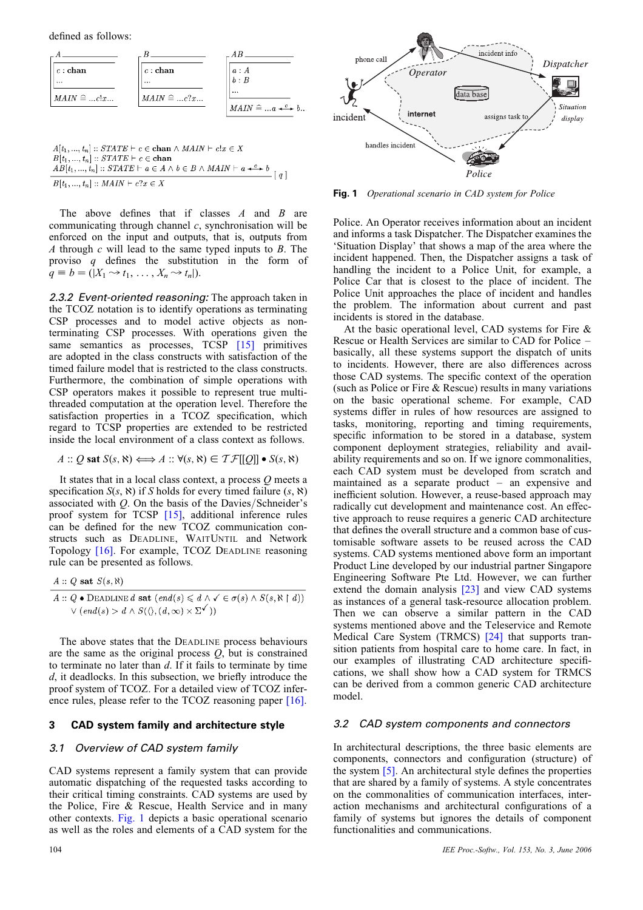defined as follows:

| $\lfloor c : \textbf{chan}\rfloor$ | $c:$ chan         | a:A                               |
|------------------------------------|-------------------|-----------------------------------|
| $\cdots$                           | $\cdots$          | b:B                               |
| $MAIN \cong clx$                   | $MAIN \cong  c?x$ | $\cdots$                          |
|                                    |                   | $MAIN \cong  a \xrightarrow{c} b$ |

 $A[t_1, ..., t_n] :: STATE \vdash c \in \textbf{chan} \land \textit{MAIN} \vdash c!x \in X$  $B[t_1, ..., t_n] :: STATE \vdash c \in \text{chan}$  $AB[t_1, ..., t_n] :: STATE \vdash c \in \text{chan}$ <br> $AB[t_1, ..., t_n] :: STATE \vdash a \in A \land b \in B \land MAIN \vdash a \stackrel{c}{\dashleftarrow} b$  [q]  $B[t_1, ..., t_n] :: MAIN \vdash c?x \in X$ 

The above defines that if classes  $A$  and  $B$  are communicating through channel  $c$ , synchronisation will be enforced on the input and outputs, that is, outputs from A through  $c$  will lead to the same typed inputs to  $B$ . The proviso q defines the substitution in the form of  $q \equiv b = (|X_1 \rightarrow t_1, \ldots, X_n \rightarrow t_n|).$ 

2.3.2 Event-oriented reasoning: The approach taken in the TCOZ notation is to identify operations as terminating CSP processes and to model active objects as nonterminating CSP processes. With operations given the same semantics as processes, TCSP [15] primitives are adopted in the class constructs with satisfaction of the timed failure model that is restricted to the class constructs. Furthermore, the combination of simple operations with CSP operators makes it possible to represent true multithreaded computation at the operation level. Therefore the satisfaction properties in a TCOZ specification, which regard to TCSP properties are extended to be restricted inside the local environment of a class context as follows.

$$
A :: Q \text{ sat } S(s, \aleph) \Longleftrightarrow A :: \forall (s, \aleph) \in \mathcal{TF}[[Q]] \bullet S(s, \aleph)
$$

It states that in a local class context, a process  $O$  meets a specification  $S(s, \aleph)$  if S holds for every timed failure  $(s, \aleph)$ associated with  $Q$ . On the basis of the Davies/Schneider's proof system for TCSP [15], additional inference rules can be defined for the new TCOZ communication constructs such as DEADLINE, WAITUNTIL and Network Topology [16]. For example, TCOZ DEADLINE reasoning rule can be presented as follows.

$$
A :: Q \text{ sat } S(s, \aleph)
$$

$$
A :: Q \bullet \text{DeADLINE } d \text{ sat } (end(s) \leq d \land \checkmark \in \sigma(s) \land S(s, \aleph \upharpoonright d))
$$
  

$$
\lor (end(s) > d \land S(\langle \rangle, (d, \infty) \times \Sigma^{\checkmark}))
$$

The above states that the DEADLINE process behaviours are the same as the original process  $Q$ , but is constrained to terminate no later than  $d$ . If it fails to terminate by time d, it deadlocks. In this subsection, we briefly introduce the proof system of TCOZ. For a detailed view of TCOZ inference rules, please refer to the TCOZ reasoning paper [16].

#### 3 CAD system family and architecture style

#### 3.1 Overview of CAD system family

CAD systems represent a family system that can provide automatic dispatching of the requested tasks according to their critical timing constraints. CAD systems are used by the Police, Fire & Rescue, Health Service and in many other contexts. Fig. 1 depicts a basic operational scenario as well as the roles and elements of a CAD system for the



Fig. 1 Operational scenario in CAD system for Police

Police. An Operator receives information about an incident and informs a task Dispatcher. The Dispatcher examines the 'Situation Display' that shows a map of the area where the incident happened. Then, the Dispatcher assigns a task of handling the incident to a Police Unit, for example, a Police Car that is closest to the place of incident. The Police Unit approaches the place of incident and handles the problem. The information about current and past incidents is stored in the database.

At the basic operational level, CAD systems for Fire & Rescue or Health Services are similar to CAD for Police – basically, all these systems support the dispatch of units to incidents. However, there are also differences across those CAD systems. The specific context of the operation (such as Police or Fire & Rescue) results in many variations on the basic operational scheme. For example, CAD systems differ in rules of how resources are assigned to tasks, monitoring, reporting and timing requirements, specific information to be stored in a database, system component deployment strategies, reliability and availability requirements and so on. If we ignore commonalities, each CAD system must be developed from scratch and maintained as a separate product – an expensive and inefficient solution. However, a reuse-based approach may radically cut development and maintenance cost. An effective approach to reuse requires a generic CAD architecture that defines the overall structure and a common base of customisable software assets to be reused across the CAD systems. CAD systems mentioned above form an important Product Line developed by our industrial partner Singapore Engineering Software Pte Ltd. However, we can further extend the domain analysis [23] and view CAD systems as instances of a general task-resource allocation problem. Then we can observe a similar pattern in the CAD systems mentioned above and the Teleservice and Remote Medical Care System (TRMCS) [24] that supports transition patients from hospital care to home care. In fact, in our examples of illustrating CAD architecture specifications, we shall show how a CAD system for TRMCS can be derived from a common generic CAD architecture model.

#### 3.2 CAD system components and connectors

In architectural descriptions, the three basic elements are components, connectors and configuration (structure) of the system [5]. An architectural style defines the properties that are shared by a family of systems. A style concentrates on the commonalities of communication interfaces, interaction mechanisms and architectural configurations of a family of systems but ignores the details of component functionalities and communications.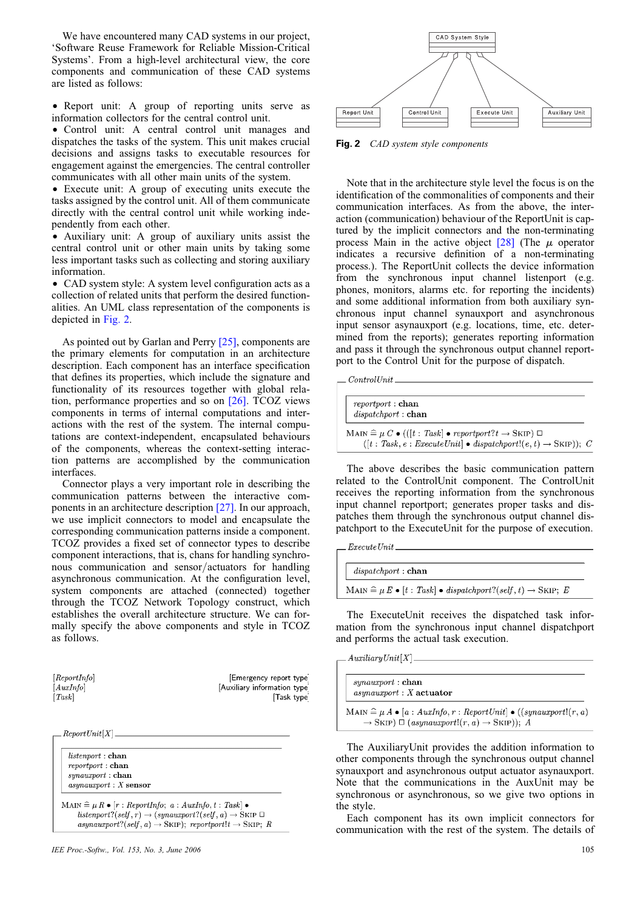We have encountered many CAD systems in our project, 'Software Reuse Framework for Reliable Mission-Critical Systems'. From a high-level architectural view, the core components and communication of these CAD systems are listed as follows:

• Report unit: A group of reporting units serve as information collectors for the central control unit.

• Control unit: A central control unit manages and dispatches the tasks of the system. This unit makes crucial decisions and assigns tasks to executable resources for engagement against the emergencies. The central controller communicates with all other main units of the system.

† Execute unit: A group of executing units execute the tasks assigned by the control unit. All of them communicate directly with the central control unit while working independently from each other.

• Auxiliary unit: A group of auxiliary units assist the central control unit or other main units by taking some less important tasks such as collecting and storing auxiliary information.

• CAD system style: A system level configuration acts as a collection of related units that perform the desired functionalities. An UML class representation of the components is depicted in Fig. 2.

As pointed out by Garlan and Perry [25], components are the primary elements for computation in an architecture description. Each component has an interface specification that defines its properties, which include the signature and functionality of its resources together with global relation, performance properties and so on [26]. TCOZ views components in terms of internal computations and interactions with the rest of the system. The internal computations are context-independent, encapsulated behaviours of the components, whereas the context-setting interaction patterns are accomplished by the communication interfaces.

Connector plays a very important role in describing the communication patterns between the interactive components in an architecture description [27]. In our approach, we use implicit connectors to model and encapsulate the corresponding communication patterns inside a component. TCOZ provides a fixed set of connector types to describe component interactions, that is, chans for handling synchronous communication and sensor/actuators for handling asynchronous communication. At the configuration level, system components are attached (connected) together through the TCOZ Network Topology construct, which establishes the overall architecture structure. We can formally specify the above components and style in TCOZ as follows.

 $[ReportInfo]$  $[AuxInfo]$  $Task$ 

Emergency report type Auxiliary information type Task type

 $.$   $ReportUnit[X]$ .

 $listenport:$ chan  $report:$ chan  $synauxport : **chan**$  $asynauxport : X$  sensor

 $\text{MAN} \mathrel{\widehat{=}} \mu \mathrel{R} \bullet [r : ReportInfo; \textit{ a :} \textit{AuxInfo}, t : \textit{Task}] \bullet \\$  $\emph{listenport?} (self, r) \rightarrow (synauxport? (self, a) \rightarrow \emph{SkIP} \; \Box$ asynauxport?(self, a)  $\rightarrow$  SKIP); reportport!t  $\rightarrow$  SKIP; R



Fig. 2 CAD system style components

Note that in the architecture style level the focus is on the identification of the commonalities of components and their communication interfaces. As from the above, the interaction (communication) behaviour of the ReportUnit is captured by the implicit connectors and the non-terminating process Main in the active object  $[28]$  (The  $\mu$  operator indicates a recursive definition of a non-terminating process.). The ReportUnit collects the device information from the synchronous input channel listenport (e.g. phones, monitors, alarms etc. for reporting the incidents) and some additional information from both auxiliary synchronous input channel synauxport and asynchronous input sensor asynauxport (e.g. locations, time, etc. determined from the reports); generates reporting information and pass it through the synchronous output channel reportport to the Control Unit for the purpose of dispatch.

 $ControlUnit$ .

| reportport : chan<br>$dispatchport:$ <b>chan</b>                                                                                                                                   |  |
|------------------------------------------------------------------------------------------------------------------------------------------------------------------------------------|--|
| MAIN $\widehat{=}\mu C \bullet (([t : Task] \bullet reportport? t \rightarrow SkIP) \square$<br>$([t : Task, e : ExecutiveUnit] \bullet dispatchport!(e, t) \rightarrow SkIP)); C$ |  |

The above describes the basic communication pattern related to the ControlUnit component. The ControlUnit receives the reporting information from the synchronous input channel reportport; generates proper tasks and dispatches them through the synchronous output channel dispatchport to the ExecuteUnit for the purpose of execution.

| $dispatchport:$ <b>chan</b>                                                                   |  |
|-----------------------------------------------------------------------------------------------|--|
| MAIN $\widehat{=}\mu E \bullet [t : Task] \bullet dispatchport?(self, t) \rightarrow SkIP; E$ |  |

The ExecuteUnit receives the dispatched task information from the synchronous input channel dispatchport and performs the actual task execution.

 $Auxiliary Unit[X]$ 

 $synauxport:$ chan  $asynauxport : X$  actuator

MAIN  $\widehat{=}\mu A \bullet [a : \text{AutInfo}, r : \text{ReportUnit}] \bullet ((\text{synauxport}! (r, a))$  $\rightarrow$  SKIP)  $\Box$  (asynauxport! $(r, a) \rightarrow$  SKIP)); A

The AuxiliaryUnit provides the addition information to other components through the synchronous output channel synauxport and asynchronous output actuator asynauxport. Note that the communications in the AuxUnit may be synchronous or asynchronous, so we give two options in the style.

Each component has its own implicit connectors for communication with the rest of the system. The details of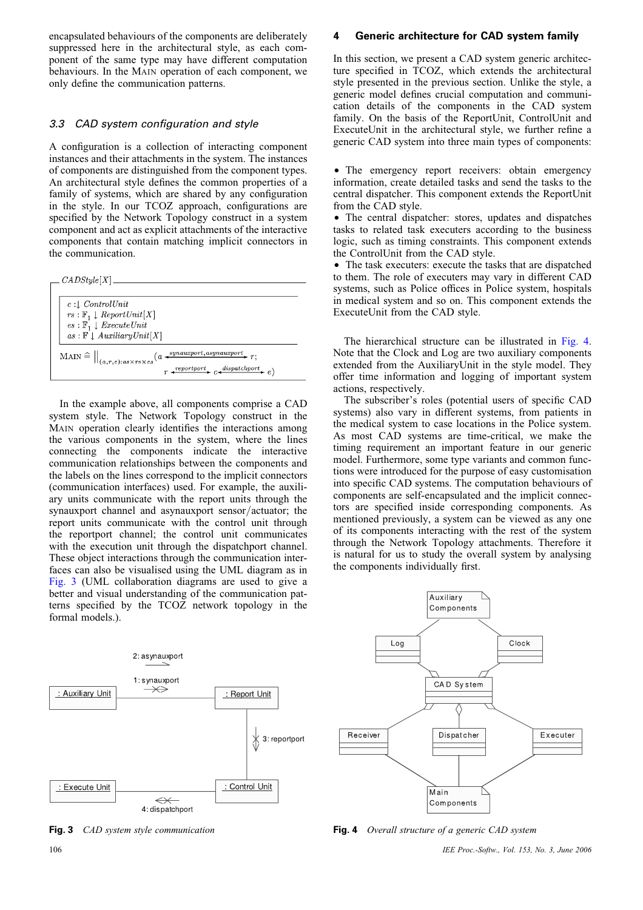encapsulated behaviours of the components are deliberately suppressed here in the architectural style, as each component of the same type may have different computation behaviours. In the MAIN operation of each component, we only define the communication patterns.

# 3.3 CAD system configuration and style

A configuration is a collection of interacting component instances and their attachments in the system. The instances of components are distinguished from the component types. An architectural style defines the common properties of a family of systems, which are shared by any configuration in the style. In our TCOZ approach, configurations are specified by the Network Topology construct in a system component and act as explicit attachments of the interactive components that contain matching implicit connectors in the communication.



In the example above, all components comprise a CAD system style. The Network Topology construct in the MAIN operation clearly identifies the interactions among the various components in the system, where the lines connecting the components indicate the interactive communication relationships between the components and the labels on the lines correspond to the implicit connectors (communication interfaces) used. For example, the auxiliary units communicate with the report units through the synauxport channel and asynauxport sensor/actuator; the report units communicate with the control unit through the reportport channel; the control unit communicates with the execution unit through the dispatchport channel. These object interactions through the communication interfaces can also be visualised using the UML diagram as in Fig. 3 (UML collaboration diagrams are used to give a better and visual understanding of the communication patterns specified by the TCOZ network topology in the formal models.).



#### 4 Generic architecture for CAD system family

In this section, we present a CAD system generic architecture specified in TCOZ, which extends the architectural style presented in the previous section. Unlike the style, a generic model defines crucial computation and communication details of the components in the CAD system family. On the basis of the ReportUnit, ControlUnit and ExecuteUnit in the architectural style, we further refine a generic CAD system into three main types of components:

† The emergency report receivers: obtain emergency information, create detailed tasks and send the tasks to the central dispatcher. This component extends the ReportUnit from the CAD style.

• The central dispatcher: stores, updates and dispatches tasks to related task executers according to the business logic, such as timing constraints. This component extends the ControlUnit from the CAD style.

• The task executers: execute the tasks that are dispatched to them. The role of executers may vary in different CAD systems, such as Police offices in Police system, hospitals in medical system and so on. This component extends the ExecuteUnit from the CAD style.

The hierarchical structure can be illustrated in Fig. 4. Note that the Clock and Log are two auxiliary components extended from the AuxiliaryUnit in the style model. They offer time information and logging of important system actions, respectively.

The subscriber's roles (potential users of specific CAD systems) also vary in different systems, from patients in the medical system to case locations in the Police system. As most CAD systems are time-critical, we make the timing requirement an important feature in our generic model. Furthermore, some type variants and common functions were introduced for the purpose of easy customisation into specific CAD systems. The computation behaviours of components are self-encapsulated and the implicit connectors are specified inside corresponding components. As mentioned previously, a system can be viewed as any one of its components interacting with the rest of the system through the Network Topology attachments. Therefore it is natural for us to study the overall system by analysing the components individually first.



Fig. 3 CAD system style communication Fig. 4 Overall structure of a generic CAD system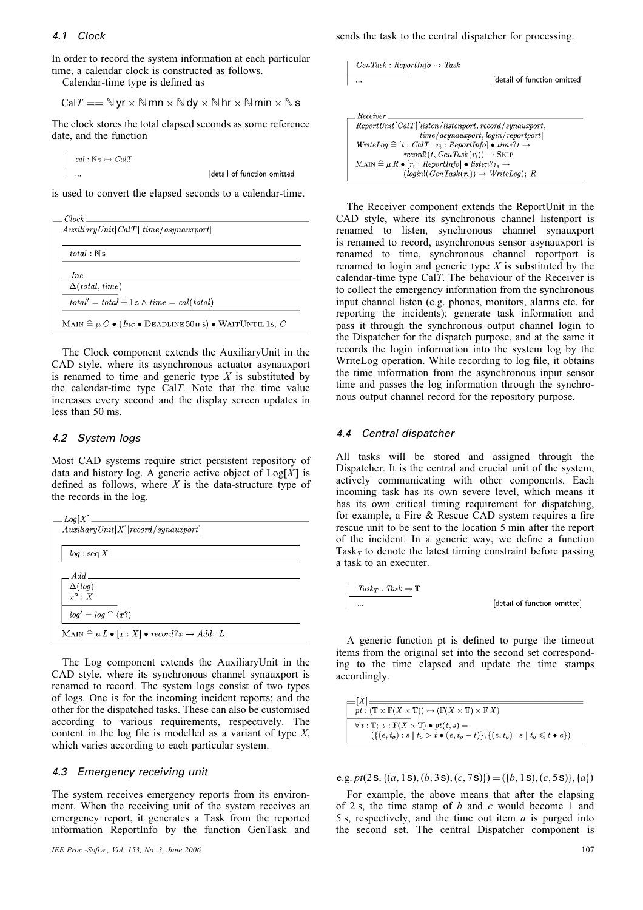#### 4.1 Clock

In order to record the system information at each particular time, a calendar clock is constructed as follows.

Calendar-time type is defined as

$$
CalT == \mathbb{N} \text{ yr} \times \mathbb{N} \text{ mm} \times \mathbb{N} \text{ dy} \times \mathbb{N} \text{ hr} \times \mathbb{N} \text{ min} \times \mathbb{N} \text{ s}
$$

The clock stores the total elapsed seconds as some reference date, and the function

 $cal : \mathbb{N} \rightarrow \text{Cat}T$  $\ddotsc$ 

detail of function omitted

is used to convert the elapsed seconds to a calendar-time.

| $Auxiliary Unit[CalT] [time/asynauxport]$                                                           |
|-----------------------------------------------------------------------------------------------------|
|                                                                                                     |
| total : Ns                                                                                          |
|                                                                                                     |
| $Inc \_\_$<br>$\Delta (total, time)$                                                                |
|                                                                                                     |
| $total' = total + 1$ s $\wedge time = cal(total)$                                                   |
| MAIN $\widehat{=}\mu C \bullet (Inc \bullet \text{ DEADLINE 50ms}) \bullet \text{WAITUNTIL 1s; } C$ |
|                                                                                                     |

The Clock component extends the AuxiliaryUnit in the CAD style, where its asynchronous actuator asynauxport is renamed to time and generic type  $X$  is substituted by the calendar-time type CalT. Note that the time value increases every second and the display screen updates in less than 50 ms.

#### 4.2 System logs

Most CAD systems require strict persistent repository of data and history log. A generic active object of  $Log[X]$  is defined as follows, where  $X$  is the data-structure type of the records in the log.

| Log[X]                              | Auxiliary Unit[X][record/synauxport]                              |  |
|-------------------------------------|-------------------------------------------------------------------|--|
| $log :$ seq X                       |                                                                   |  |
| $Add$ <sub>_________</sub>          |                                                                   |  |
| $\Delta(log)$<br>$r^2 \cdot X$      |                                                                   |  |
| $log' = log \cap \langle x \rangle$ |                                                                   |  |
|                                     | MAIN $\widehat{=}\mu L \bullet [x:X] \bullet record?x \to Add; L$ |  |

The Log component extends the AuxiliaryUnit in the CAD style, where its synchronous channel synauxport is renamed to record. The system logs consist of two types of logs. One is for the incoming incident reports; and the other for the dispatched tasks. These can also be customised according to various requirements, respectively. The content in the log file is modelled as a variant of type  $X$ , which varies according to each particular system.

#### 4.3 Emergency receiving unit

The system receives emergency reports from its environment. When the receiving unit of the system receives an emergency report, it generates a Task from the reported information ReportInfo by the function GenTask and sends the task to the central dispatcher for processing.

GenTask : ReportInfo 
$$
\rightarrow
$$
 Task\n
$$
\begin{aligned}\n\text{[detail of function omitted]} \end{aligned}
$$

| Receiver                                                                          |
|-----------------------------------------------------------------------------------|
| $ReportUnit[CalT]   listen/Listener, record/synauxport,$                          |
| time/asynauxport, login/report]                                                   |
| $WriteLog \triangleq [t : CalT; r_i : ReportInfo] \bullet time? t \rightarrow$    |
| $record!(t, GenTask(r_i)) \rightarrow SkIP$                                       |
| MAIN $\widehat{=}\mu R \bullet [r_i : ReportInfo] \bullet listen?r_i \rightarrow$ |
| $(login!(GenTask(r_i)) \rightarrow WriteLog); R$                                  |

The Receiver component extends the ReportUnit in the CAD style, where its synchronous channel listenport is renamed to listen, synchronous channel synauxport is renamed to record, asynchronous sensor asynauxport is renamed to time, synchronous channel reportport is renamed to login and generic type  $X$  is substituted by the calendar-time type CalT. The behaviour of the Receiver is to collect the emergency information from the synchronous input channel listen (e.g. phones, monitors, alarms etc. for reporting the incidents); generate task information and pass it through the synchronous output channel login to the Dispatcher for the dispatch purpose, and at the same it records the login information into the system log by the WriteLog operation. While recording to log file, it obtains the time information from the asynchronous input sensor time and passes the log information through the synchronous output channel record for the repository purpose.

#### 4.4 Central dispatcher

All tasks will be stored and assigned through the Dispatcher. It is the central and crucial unit of the system, actively communicating with other components. Each incoming task has its own severe level, which means it has its own critical timing requirement for dispatching, for example, a Fire & Rescue CAD system requires a fire rescue unit to be sent to the location 5 min after the report of the incident. In a generic way, we define a function Task<sub>T</sub> to denote the latest timing constraint before passing a task to an executer.

$$
\begin{aligned} \underline{Task_T}: \textit{Task} \xrightarrow{} \mathbb{T} \\ \dots \end{aligned} \qquad \qquad \begin{aligned} [\textit{detail of function omitted}] \end{aligned}
$$

A generic function pt is defined to purge the timeout items from the original set into the second set corresponding to the time elapsed and update the time stamps accordingly.

| $=$ $ X =$                                                                                                                  |
|-----------------------------------------------------------------------------------------------------------------------------|
| $pt: (\mathbb{T} \times \mathbb{F}(X \times \mathbb{T})) \rightarrow (\mathbb{F}(X \times \mathbb{T}) \times \mathbb{F} X)$ |
|                                                                                                                             |
| $\forall t : \mathbb{T}; s : \mathbb{F}(X \times \mathbb{T}) \bullet pt(t, s) =$                                            |
| $(\{(e, t_o): s \mid t_o > t \bullet (e, t_o - t)\}, \{(e, t_o): s \mid t_o \leq t \bullet e\})$                            |

e.g. pt $(2s, \{(a, 1s), (b, 3s), (c, 7s)\}) = (\{b, 1s), (c, 5s)\}, \{a\})$ 

For example, the above means that after the elapsing of 2 s, the time stamp of b and c would become 1 and 5 s, respectively, and the time out item  $a$  is purged into the second set. The central Dispatcher component is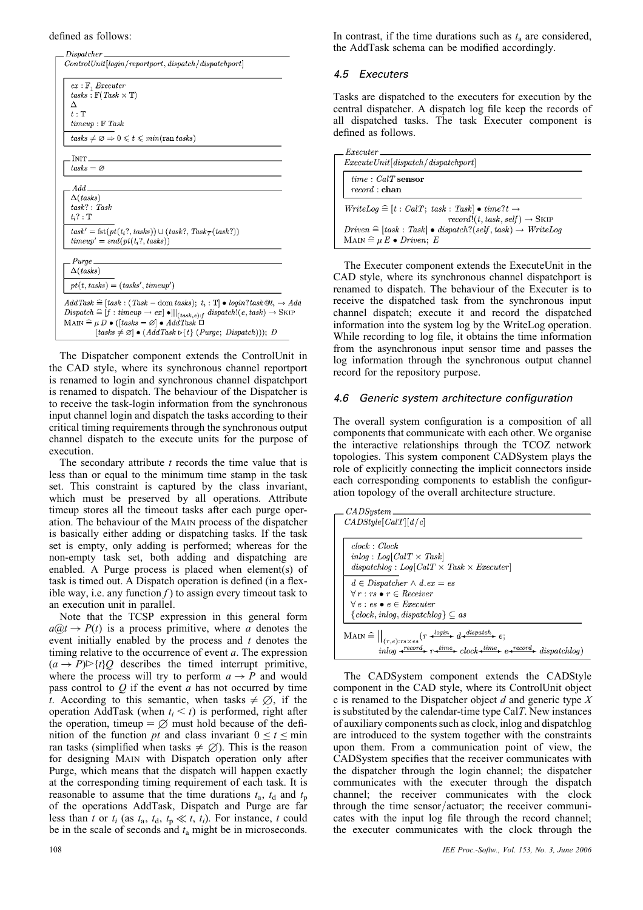#### defined as follows:

| $tasks : \mathbb{F}(Task \times \mathbb{T})$<br>$timeup : F$ Task<br>$tasks \neq \emptyset \Rightarrow 0 \leq t \leq min(\text{ran } tasks)$<br>$tasks = \varnothing$<br>Add<br>$\Delta ($ tasks)<br>$task' = \text{fst}(pt(t_i?, tasks)) \cup (task?, Task_T(task?))$<br>$timeup' = \text{snd}(\text{pt}(t_i?, \text{tasks}))$<br>$pt(t, tasks) = (tasks', timeup')$<br>$AddTask \cong [task : (Task - \text{dom} tasks); t_i : \mathbb{T}] \bullet login?task@t_i \rightarrow Add$ | $ex: \mathbb{F}$ , <i>Executer</i> |                                                                                                                         |
|--------------------------------------------------------------------------------------------------------------------------------------------------------------------------------------------------------------------------------------------------------------------------------------------------------------------------------------------------------------------------------------------------------------------------------------------------------------------------------------|------------------------------------|-------------------------------------------------------------------------------------------------------------------------|
|                                                                                                                                                                                                                                                                                                                                                                                                                                                                                      |                                    |                                                                                                                         |
|                                                                                                                                                                                                                                                                                                                                                                                                                                                                                      | Δ                                  |                                                                                                                         |
|                                                                                                                                                                                                                                                                                                                                                                                                                                                                                      | $t:\mathbb{T}$                     |                                                                                                                         |
|                                                                                                                                                                                                                                                                                                                                                                                                                                                                                      |                                    |                                                                                                                         |
|                                                                                                                                                                                                                                                                                                                                                                                                                                                                                      |                                    |                                                                                                                         |
|                                                                                                                                                                                                                                                                                                                                                                                                                                                                                      |                                    |                                                                                                                         |
|                                                                                                                                                                                                                                                                                                                                                                                                                                                                                      | INIT_                              |                                                                                                                         |
|                                                                                                                                                                                                                                                                                                                                                                                                                                                                                      |                                    |                                                                                                                         |
|                                                                                                                                                                                                                                                                                                                                                                                                                                                                                      |                                    |                                                                                                                         |
|                                                                                                                                                                                                                                                                                                                                                                                                                                                                                      |                                    |                                                                                                                         |
|                                                                                                                                                                                                                                                                                                                                                                                                                                                                                      | task? : Task                       |                                                                                                                         |
|                                                                                                                                                                                                                                                                                                                                                                                                                                                                                      | $t_i$ ? : $\mathbb T$              |                                                                                                                         |
|                                                                                                                                                                                                                                                                                                                                                                                                                                                                                      |                                    |                                                                                                                         |
|                                                                                                                                                                                                                                                                                                                                                                                                                                                                                      |                                    |                                                                                                                         |
|                                                                                                                                                                                                                                                                                                                                                                                                                                                                                      |                                    |                                                                                                                         |
|                                                                                                                                                                                                                                                                                                                                                                                                                                                                                      | Purge.                             |                                                                                                                         |
|                                                                                                                                                                                                                                                                                                                                                                                                                                                                                      | $\Delta (tasks)$                   |                                                                                                                         |
|                                                                                                                                                                                                                                                                                                                                                                                                                                                                                      |                                    |                                                                                                                         |
|                                                                                                                                                                                                                                                                                                                                                                                                                                                                                      |                                    |                                                                                                                         |
|                                                                                                                                                                                                                                                                                                                                                                                                                                                                                      |                                    | $Dispatch \cong [f: timeup \rightarrow ex] \bullet    _{(task,e):f} \text{~dispatch!}(e, task) \rightarrow \text{SKIP}$ |
| $\text{MAIN} \widehat{=} \mu D \bullet ([tasks = \varnothing] \bullet AddTask \ \Box$                                                                                                                                                                                                                                                                                                                                                                                                |                                    |                                                                                                                         |

 $[tasks \neq \emptyset] \bullet (AddTask \triangleright \{t\} (Purge; Dispatch))); D$ 

The Dispatcher component extends the ControlUnit in the CAD style, where its synchronous channel reportport is renamed to login and synchronous channel dispatchport is renamed to dispatch. The behaviour of the Dispatcher is to receive the task-login information from the synchronous input channel login and dispatch the tasks according to their critical timing requirements through the synchronous output channel dispatch to the execute units for the purpose of execution.

The secondary attribute  $t$  records the time value that is less than or equal to the minimum time stamp in the task set. This constraint is captured by the class invariant, which must be preserved by all operations. Attribute timeup stores all the timeout tasks after each purge operation. The behaviour of the MAIN process of the dispatcher is basically either adding or dispatching tasks. If the task set is empty, only adding is performed; whereas for the non-empty task set, both adding and dispatching are enabled. A Purge process is placed when element(s) of task is timed out. A Dispatch operation is defined (in a flexible way, i.e. any function  $f$ ) to assign every timeout task to an execution unit in parallel.

Note that the TCSP expression in this general form  $a@t \rightarrow P(t)$  is a process primitive, where a denotes the event initially enabled by the process and  $t$  denotes the timing relative to the occurrence of event  $a$ . The expression  $(a \rightarrow P)$  $\triangleright$ {t}Q describes the timed interrupt primitive, where the process will try to perform  $a \rightarrow P$  and would pass control to  $Q$  if the event  $a$  has not occurred by time t. According to this semantic, when tasks  $\neq \emptyset$ , if the operation AddTask (when  $t_i < t$ ) is performed, right after the operation, timeup  $= \emptyset$  must hold because of the definition of the function pt and class invariant  $0 \le t \le \text{min}$ ran tasks (simplified when tasks  $\neq \emptyset$ ). This is the reason for designing MAIN with Dispatch operation only after Purge, which means that the dispatch will happen exactly at the corresponding timing requirement of each task. It is reasonable to assume that the time durations  $t_a$ ,  $t_d$  and  $t_p$ of the operations AddTask, Dispatch and Purge are far less than t or  $t_i$  (as  $t_a$ ,  $t_d$ ,  $t_p \ll t$ ,  $t_i$ ). For instance, t could be in the scale of seconds and  $t_a$  might be in microseconds.

#### 4.5 Executers

Tasks are dispatched to the executers for execution by the central dispatcher. A dispatch log file keep the records of all dispatched tasks. The task Executer component is defined as follows.

| $\_Executor$                                                                                                                                       |  |  |
|----------------------------------------------------------------------------------------------------------------------------------------------------|--|--|
| Execute Unit[dispatch/dispatchport]                                                                                                                |  |  |
| $\begin{array}{l} time: \mathit{CalT} \ \textbf{sensor} \\ record: \ \textbf{chan} \end{array}$                                                    |  |  |
| $WriteLog \cong [t : CalT; task : Task   \bullet time? t \rightarrow$<br>$record!(t, task, self) \rightarrow SkIP$                                 |  |  |
| $\text{Driven} \cong [task : Task] \bullet \text{ dispatch}?(self, task) \rightarrow \text{WriteLog}$<br>MAIN $\widehat{=}\mu E \bullet Driven; E$ |  |  |
|                                                                                                                                                    |  |  |

The Executer component extends the ExecuteUnit in the CAD style, where its synchronous channel dispatchport is renamed to dispatch. The behaviour of the Executer is to receive the dispatched task from the synchronous input channel dispatch; execute it and record the dispatched information into the system log by the WriteLog operation. While recording to log file, it obtains the time information from the asynchronous input sensor time and passes the log information through the synchronous output channel record for the repository purpose.

#### 4.6 Generic system architecture configuration

The overall system configuration is a composition of all components that communicate with each other. We organise the interactive relationships through the TCOZ network topologies. This system component CADSystem plays the role of explicitly connecting the implicit connectors inside each corresponding components to establish the configuration topology of the overall architecture structure.

| CADStyle[CalT][d/c]                                                                                                          |
|------------------------------------------------------------------------------------------------------------------------------|
| clock: Clock                                                                                                                 |
| $inlog: Log[CalT \times Task]$                                                                                               |
| dispatchlog : $Log[CalT \times Task \times Executor]$                                                                        |
| $d \in Dispatcher \wedge d.ex = es$                                                                                          |
| $\forall r : rs \bullet r \in Receiver$                                                                                      |
| $\forall e : es \bullet e \in Executor$                                                                                      |
| ${clock, inlog, dispatchlog} \subseteq as$                                                                                   |
| MAIN $\widehat{=} \big\ _{(r,e):rs\times es} (r \stackrel{login}{\longrightarrow} d \stackrel{dispatch}{\longrightarrow} e;$ |
| $inlog \xrightarrow{record} r\xrightarrow{time} clock \xrightarrow{time} e\xrightarrow{record} dispatchlog$                  |

The CADSystem component extends the CADStyle component in the CAD style, where its ControlUnit object c is renamed to the Dispatcher object  $d$  and generic type  $X$ is substituted by the calendar-time type CalT. New instances of auxiliary components such as clock, inlog and dispatchlog are introduced to the system together with the constraints upon them. From a communication point of view, the CADSystem specifies that the receiver communicates with the dispatcher through the login channel; the dispatcher communicates with the executer through the dispatch channel; the receiver communicates with the clock through the time sensor/actuator; the receiver communicates with the input log file through the record channel; the executer communicates with the clock through the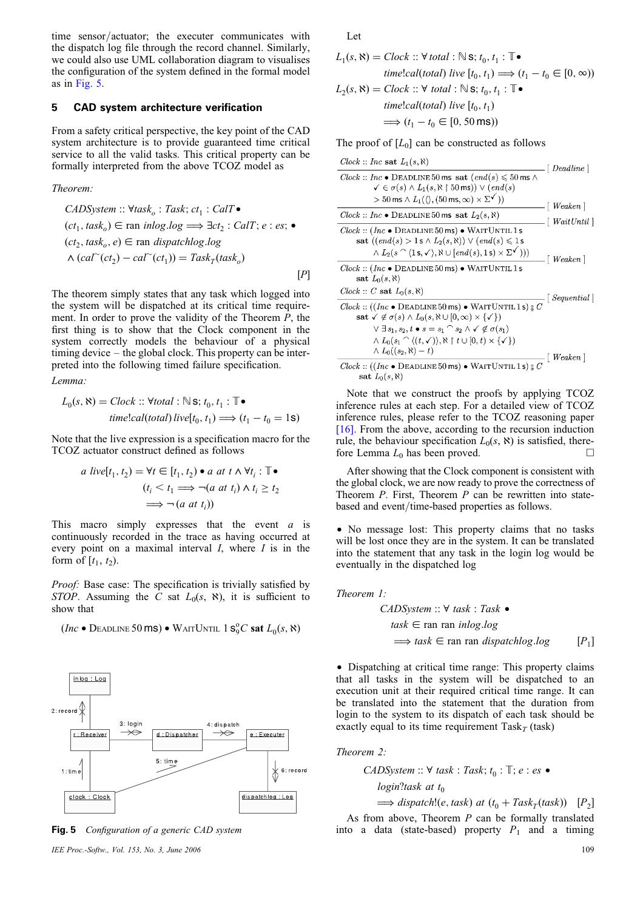time sensor/actuator; the executer communicates with the dispatch log file through the record channel. Similarly, we could also use UML collaboration diagram to visualises the configuration of the system defined in the formal model as in Fig. 5.

#### 5 CAD system architecture verification

From a safety critical perspective, the key point of the CAD system architecture is to provide guaranteed time critical service to all the valid tasks. This critical property can be formally interpreted from the above TCOZ model as

#### Theorem:

*CADSystem* :: 
$$
\forall
$$
*task*<sub>o</sub> : *Task*; *ct*<sub>1</sub> : *CalT* •  
\n(*ct*<sub>1</sub>, *task*<sub>o</sub>) ∈ ran *inlog.log* ⇒  $\exists$ *ct*<sub>2</sub> : *CalT*; *e* : *es*; •  
\n(*ct*<sub>2</sub>, *task*<sub>o</sub>, *e*) ∈ ran *dispatchlog.log*  
\n∧ (*cal*<sup>∼</sup>(*ct*<sub>2</sub>) – *cal*<sup>∼</sup>(*ct*<sub>1</sub>)) = *Task*<sub>T</sub>(*task*<sub>o</sub>) [P]

The theorem simply states that any task which logged into the system will be dispatched at its critical time requirement. In order to prove the validity of the Theorem P, the first thing is to show that the Clock component in the system correctly models the behaviour of a physical timing device – the global clock. This property can be interpreted into the following timed failure specification.

Lemma:

$$
L_0(s, \aleph) = \text{Clock} :: \forall \text{total} : \mathbb{N} \text{ s}; t_0, t_1 : \mathbb{T} \bullet
$$
  

$$
\text{time:} \text{cal}(\text{total}) \text{ live}[t_0, t_1) \Longrightarrow (t_1 - t_0 = 1 \text{ s})
$$

Note that the live expression is a specification macro for the TCOZ actuator construct defined as follows

$$
a \text{ live}[t_1, t_2) = \forall t \in [t_1, t_2) \bullet a \text{ at } t \land \forall t_i : \mathbb{T} \bullet
$$
\n
$$
(t_i < t_1 \Longrightarrow \neg(a \text{ at } t_i) \land t_i \ge t_2
$$
\n
$$
\Longrightarrow \neg(a \text{ at } t_i))
$$

This macro simply expresses that the event  $a$  is continuously recorded in the trace as having occurred at every point on a maximal interval  $I$ , where  $I$  is in the form of  $[t_1, t_2)$ .

Proof: Base case: The specification is trivially satisfied by STOP. Assuming the C sat  $L_0(s, \aleph)$ , it is sufficient to show that

(Inc • Deadline 50 ms) • WaitUntil 1  $\mathbf{s}_9^{\mathrm{o}}C$  sat  $L_0(s, \aleph)$ 





Let

$$
L_1(s, \aleph) = \text{Clock} :: \forall \text{ total} : \mathbb{N} \text{ s}; t_0, t_1 : \mathbb{T} \bullet
$$
\n
$$
\text{time:} \text{cal}(total) \text{ live } [t_0, t_1) \Longrightarrow (t_1 - t_0 \in [0, \infty))
$$
\n
$$
L_2(s, \aleph) = \text{Clock} :: \forall \text{ total} : \mathbb{N} \text{ s}; t_0, t_1 : \mathbb{T} \bullet
$$
\n
$$
\text{time:} \text{cal}(total) \text{ live } [t_0, t_1)
$$
\n
$$
\Longrightarrow (t_1 - t_0 \in [0, 50 \text{ ms}))
$$

The proof of  $[L_0]$  can be constructed as follows

| $Clock :: Inc$ sat $L_1(s, \aleph)$                                                                                                                                                                                                                                                                                 | $\mid$ Deadline $\mid$           |
|---------------------------------------------------------------------------------------------------------------------------------------------------------------------------------------------------------------------------------------------------------------------------------------------------------------------|----------------------------------|
| $Clock :: Inc \bullet \text{ DEADLINE} 50 \text{ ms} \text{ sat } (end(s) \leqslant 50 \text{ ms } \wedge$<br>$\checkmark$ $\in \sigma(s) \wedge L_1(s, \aleph \upharpoonright 50 \,\text{ms})) \vee (end(s)$<br>$> 50 \text{ ms} \wedge L_1(\langle \rangle, (50 \text{ ms}, \infty) \times \Sigma^{\checkmark} )$ | $\lceil \textit{Weather} \rceil$ |
| $Clock :: Inc \bullet \text{ DEADLINE} 50 \text{ ms} \text{ sat } L_2(s, \aleph)$                                                                                                                                                                                                                                   | $\mid WaitUntil \mid$            |
| $Clock :: (Inc \bullet DEADLINE 50 ms) \bullet WAITUNIT 1 s$<br>sat $((end(s) > 1s \wedge L_2(s, \aleph)) \vee (end(s) \leq 1s$<br>$\wedge$ $L_2(s \cap (1 \text{ s}, \checkmark), \aleph \cup [end(s), 1 \text{ s}) \times \Sigma^{\checkmark}$ ))                                                                 | $\lceil$ Weaken $\rceil$         |
| $Clock :: (Inc \bullet DEADLINE 50 ms) \bullet WAITUNITL 1 s$<br>sat $L_0(s, \aleph)$                                                                                                                                                                                                                               |                                  |
| $Clock :: C$ sat $L_0(s, \aleph)$                                                                                                                                                                                                                                                                                   | $\mid$ Sequential $\mid$         |
| $Clock :: ((Inc \bullet DEADLINE 50 ms) \bullet WAITUNIT 1 s)$ g C<br>sat $\checkmark \notin \sigma(s) \land L_0(s, \aleph \cup [0, \infty) \times {\checkmark} \)$<br>$\vee \exists s_1, s_2, t \bullet s = s_1 \cap s_2 \wedge \checkmark \notin \sigma(s_1)$                                                     |                                  |
| $\wedge$ $L_0(s_1 \cap \langle (t,\checkmark),\check\aleph \restriction t \cup [0,t)\times \{\checkmark\} \rangle)$<br>$\wedge$ $L_0$ ( $(s_2, \aleph) - t$ )<br>$Clock :: ((Inc \bullet DEADLINE 50 ms) \bullet WAITUNTIL 1 s)$ g C                                                                                | Weaken                           |
| sat $L_0(s, \aleph)$                                                                                                                                                                                                                                                                                                |                                  |

Note that we construct the proofs by applying TCOZ inference rules at each step. For a detailed view of TCOZ inference rules, please refer to the TCOZ reasoning paper [16]. From the above, according to the recursion induction rule, the behaviour specification  $L_0(s, \aleph)$  is satisfied, there-<br>fore Lemma L<sub>0</sub> has been proved fore Lemma  $L_0$  has been proved.

After showing that the Clock component is consistent with the global clock, we are now ready to prove the correctness of Theorem  $P$ . First, Theorem  $P$  can be rewritten into statebased and event/time-based properties as follows.

• No message lost: This property claims that no tasks will be lost once they are in the system. It can be translated into the statement that any task in the login log would be eventually in the dispatched log

Theorem 1:

*CADSystem* :: ∀ *task* : *Task* 
$$
\bullet
$$
  
\n $task \in \text{ran ran in } \text{inlog} \cdot \text{log}$   
\n $\implies \text{task} \in \text{ran ran } \text{dispatch} \cdot \text{log} \quad [P_1]$ 

† Dispatching at critical time range: This property claims that all tasks in the system will be dispatched to an execution unit at their required critical time range. It can be translated into the statement that the duration from login to the system to its dispatch of each task should be exactly equal to its time requirement Task<sub>T</sub> (task)

Theorem 2:

CADSystem ::  $\forall$  task : Task;  $t_0$  :  $\mathbb{T}$ ; e : es •

 $login?task$  at  $t_0$ 

$$
\implies dispatch!(e, task) \ at \ (t_0 + Task_T(task)) \ [P_2]
$$

As from above, Theorem  $P$  can be formally translated Fig. 5 Configuration of a generic CAD system into a data (state-based) property  $P_1$  and a timing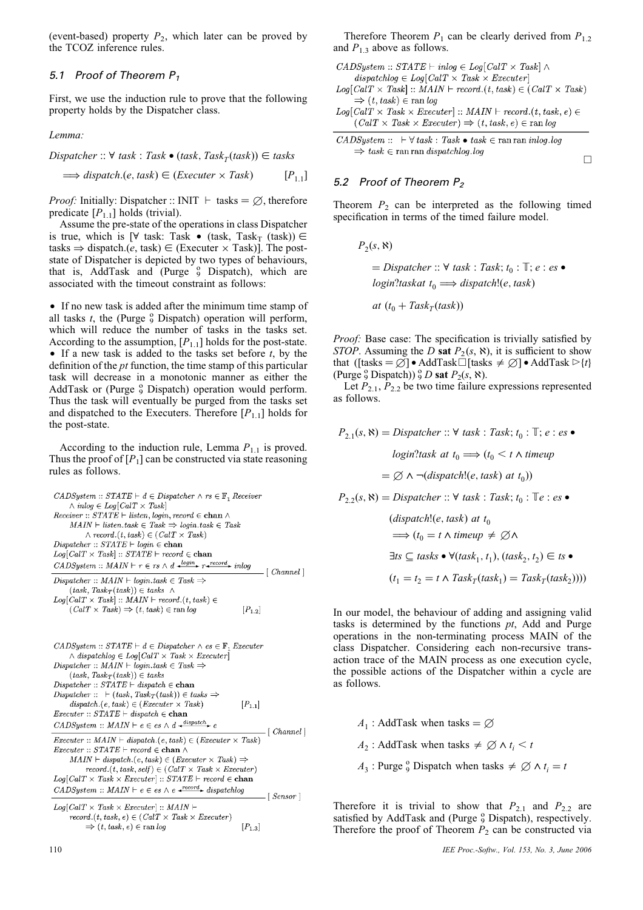(event-based) property  $P_2$ , which later can be proved by the TCOZ inference rules.

# 5.1 Proof of Theorem  $P_1$

First, we use the induction rule to prove that the following property holds by the Dispatcher class.

Lemma:

$$
Dispatcher :: \forall task : Task \bullet (task, Task_T(task)) \in tasks
$$
  

$$
\implies dispatch.(e, task) \in (Executor \times Task) \qquad [P_{1,1}]
$$

*Proof:* Initially: Dispatcher :: INIT  $\vdash$  tasks  $= \emptyset$ , therefore predicate  $[P_{1.1}]$  holds (trivial).

Assume the pre-state of the operations in class Dispatcher is true, which is  $[\forall$  task: Task • (task, Task<sub>T</sub> (task))  $\in$ tasks  $\Rightarrow$  dispatch.(*e*, task)  $\in$  (Executer  $\times$  Task)]. The poststate of Dispatcher is depicted by two types of behaviours, that is, AddTask and (Purge <sup>9</sup> Dispatch), which are associated with the timeout constraint as follows:

• If no new task is added after the minimum time stamp of all tasks  $t$ , the (Purge  $\frac{0}{9}$  Dispatch) operation will perform, which will reduce the number of tasks in the tasks set. According to the assumption,  $[P_{1,1}]$  holds for the post-state. • If a new task is added to the tasks set before  $t$ , by the definition of the pt function, the time stamp of this particular task will decrease in a monotonic manner as either the AddTask or (Purge <sup>9</sup> Dispatch) operation would perform. Thus the task will eventually be purged from the tasks set and dispatched to the Executers. Therefore  $[P_{1,1}]$  holds for the post-state.

According to the induction rule, Lemma  $P_{1,1}$  is proved. Thus the proof of  $[P_1]$  can be constructed via state reasoning rules as follows.

| $CADSystem :: STATE \vdash d \in Dispatcher \land rs \in \mathbb{F}$ , Receiver<br>$\wedge$ inlog $\in$ Log[CalT $\times$ Task]<br>$Receiver :: STATE \vdash listen, login, record \in \textbf{chan} \wedge$<br>$MAIN \vdash listen. task \in Task \Rightarrow login. task \in Task$<br>$\land$ record. $(t, task) \in (CalT \times Task)$<br>$Dispatcher :: STATE \vdash login \in \textbf{chan}$<br>$Log[CalT \times Task] :: STATE \vdash record \in \mathbf{chan}$<br>CADSystem :: $MAIN \vdash r \in rs \land d \xrightarrow{login} r \xrightarrow{record} in log$<br>[Channel] |
|--------------------------------------------------------------------------------------------------------------------------------------------------------------------------------------------------------------------------------------------------------------------------------------------------------------------------------------------------------------------------------------------------------------------------------------------------------------------------------------------------------------------------------------------------------------------------------------|
| Dispatcher :: $MAIN \vdash login. task \in Task \Rightarrow$                                                                                                                                                                                                                                                                                                                                                                                                                                                                                                                         |
| $(task, Task_T(task)) \in tasks \wedge$                                                                                                                                                                                                                                                                                                                                                                                                                                                                                                                                              |
| $Log[CalT \times Task] :: MAIN \vdash record.(t, task) \in$<br>$(CalT \times Task) \Rightarrow (t, task) \in ran log$<br>$[P_{1.2}]$                                                                                                                                                                                                                                                                                                                                                                                                                                                 |
| $CADSystem :: STATE \vdash d \in Dispatcher \land es \in \mathbb{F}$ , Executer                                                                                                                                                                                                                                                                                                                                                                                                                                                                                                      |
| $\wedge$ dispatchlog $\in$ Log[CalT $\times$ Task $\times$ Executer]                                                                                                                                                                                                                                                                                                                                                                                                                                                                                                                 |
| $Dispatcher :: MAIN \vdash login. task \in Task \Rightarrow$                                                                                                                                                                                                                                                                                                                                                                                                                                                                                                                         |
| $(task, Task_T(task)) \in tasks$                                                                                                                                                                                                                                                                                                                                                                                                                                                                                                                                                     |
| $Dispatcher :: STATE \vdash dispatch \in \textbf{chan}$                                                                                                                                                                                                                                                                                                                                                                                                                                                                                                                              |
| Dispatcher :: $\vdash$ (task, Task <sub>T</sub> (task)) $\in$ tasks $\Rightarrow$                                                                                                                                                                                                                                                                                                                                                                                                                                                                                                    |
| $dispatch.(e, task) \in (Executor \times Task)$<br>$[P_{1,1}]$<br><i>Executer</i> :: $STATE \vdash dispatch \in \textbf{chan}$                                                                                                                                                                                                                                                                                                                                                                                                                                                       |
| CADSystem :: $MAIN \vdash e \in \text{es} \land d \xrightarrow{dispatch} e$                                                                                                                                                                                                                                                                                                                                                                                                                                                                                                          |
| $\lceil$ Channel $\rceil$                                                                                                                                                                                                                                                                                                                                                                                                                                                                                                                                                            |
| <i>Executer</i> :: $MAIN \vdash dispatch.(e, task) \in (Executor \times Task)$<br>$Executor :: STATE \vdash record \in \textbf{chan} \wedge$                                                                                                                                                                                                                                                                                                                                                                                                                                         |

57.ATE |  $MAIN \vdash dispatch.(e, task) \in (Executor \times Task) \Rightarrow$  $record.(t, task, self) \in (CalT \times Task \times Executor)$  $\label{eq:log(CaIT} Log\text{-}[CalT \times \text{Task} \times \text{Executor}] :: \text{STATE} \vdash \text{record} \in \textbf{chan}$ CADSustem ::  $MAIN \vdash e \in \text{es} \land e \xrightarrow{\text{record}} \text{dispatch }$ 

 $\lceil$  Sensor  $\rceil$  $Log[CalT \times Task \times Executor] :: MAIN \vdash$  $record.(t, task, e) \in (CalT \times Task \times Executor)$  $\left[P_{1.3}\right]$  $\Rightarrow$   $(t, task, e) \in \text{ran} \log$ 

Therefore Theorem  $P_1$  can be clearly derived from  $P_{1,2}$ and  $P_{1,3}$  above as follows.

 $CADS<sub>ystem</sub> :: STATE \vdash inlog \in Log[CalT \times Task] \wedge$  $dispatchlog \in Log[CalT \times Task \times Executor]$  $Log[CalT \times Task] :: MAIN \vdash record.(t, task) \in (CalT \times Task)$ 

 $\Rightarrow$   $(t, task) \in \text{ran} \log$  $Log[CalT \times Task \times Executor] :: MAIN \vdash record.(t, task, e) \in$  $(CalT \times Task \times Executor) \Rightarrow (t, task, e) \in ran log$ 

 $CADSystem :: \vdash \forall task : Task \bullet task \in \text{ran ran } inlog.log$  $\Rightarrow$  task  $\in$  ran ran dispatchlog.log

# 5.2 Proof of Theorem  $P_2$

Theorem  $P_2$  can be interpreted as the following timed specification in terms of the timed failure model.

 $\Box$ 

 $P_2(s, \aleph)$  $\mathcal{L} = Dispatcher :: \forall$  task : Task;  $t_0 : \mathbb{T}$ ; e : es • login?taskat  $t_0 \Longrightarrow$  dispatch!(e, task) at  $(t_0 + Task_T (task))$ 

Proof: Base case: The specification is trivially satisfied by STOP. Assuming the D sat  $P_2(s, \aleph)$ , it is sufficient to show that ([tasks =  $\emptyset$ ] • AddTask $\Box$ [tasks  $\neq \emptyset$ ] • AddTask  $\triangleright$ {*t*} (Purge  ${}^{\circ}_{9}$  Dispatch))  ${}^{\circ}_{9}$  D sat  $P_2(s, \aleph)$ .

Let  $P_{2,1}$ ,  $P_{2,2}$  be two time failure expressions represented as follows.

$$
P_{2,1}(s, \aleph) = Dispatcher :: \forall task : Task; t_0 : \mathbb{T}; e : es \bullet
$$
  

$$
login?task at t_0 \Longrightarrow (t_0 < t \land timeup
$$
  

$$
= \emptyset \land \neg (dispatch!(e, task) at t_0))
$$
  

$$
P_{2,2}(s, \aleph) = Dispatcher :: \forall task : Task; t_0 : \mathbb{T}e : es \bullet
$$
  

$$
(dispatch!(e, task) at t_0
$$
  

$$
\Longrightarrow (t_0 = t \land timeup \neq \emptyset \land
$$
  

$$
\exists ts \subseteq tasks \bullet \forall (task_1, t_1), (task_2, t_2) \in ts \bullet
$$
  

$$
(t_1 = t_2 = t \land Task_T(task_1) = Task_T(task_2))))
$$

In our model, the behaviour of adding and assigning valid tasks is determined by the functions  $pt$ , Add and Purge operations in the non-terminating process MAIN of the class Dispatcher. Considering each non-recursive transaction trace of the MAIN process as one execution cycle, the possible actions of the Dispatcher within a cycle are as follows.

 $A_1$ : AddTask when tasks =  $\varnothing$  $A_2$ : AddTask when tasks  $\neq \emptyset \wedge t_i \leq t$  $A_3$ : Purge <sup>o</sup> Dispatch when tasks  $\neq \emptyset \wedge t_i = t$ 

Therefore it is trivial to show that  $P_{2,1}$  and  $P_{2,2}$  are satisfied by AddTask and (Purge  $\frac{0}{9}$  Dispatch), respectively. Therefore the proof of Theorem  $P_2$  can be constructed via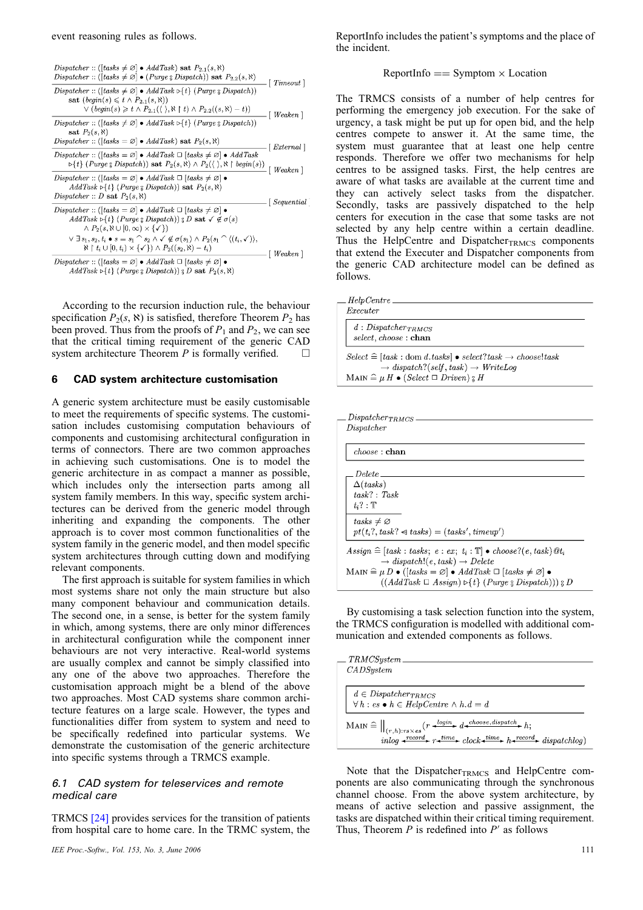| Dispatcher :: ([tasks $\neq \emptyset$ ] • AddTask) sat $P_{2,1}(s, \aleph)$<br><i>Dispatcher</i> :: ([tasks $\neq \emptyset$ ] • ( <i>Purge</i> $\{Dispatch\}$ ] sat $P_{2,2}(s,\aleph)$                                                                                                                            | $\lceil$ Timeout $\rceil$                     |  |
|----------------------------------------------------------------------------------------------------------------------------------------------------------------------------------------------------------------------------------------------------------------------------------------------------------------------|-----------------------------------------------|--|
| Dispatcher :: ([tasks $\neq \emptyset$ ] • AddTask $\triangleright$ [t] (Purge $\triangleleft$ Dispatch))<br>sat $\left( \text{begin}(s) \leq t \wedge P_{2,1}(s, \aleph) \right)$<br>$\vee$ ( <i>begin(s)</i> $\geq t \wedge P_{2,1}(\langle \ \rangle, \aleph \upharpoonright t) \wedge P_{2,2}((s,\aleph) - t)$ ) | - [ Weaken ]                                  |  |
| Dispatcher :: ([tasks $\neq \emptyset$ ] • AddTask $\triangleright$ {t} (Purqe \tip Dispatch))<br>sat $P_2(s, \aleph)$<br>Dispatcher :: ([tasks = $\varnothing$ ] • AddTask) sat $P_2(s, \aleph)$                                                                                                                    |                                               |  |
| Dispatcher :: ([tasks = $\varnothing$ ] • AddTask $\Box$ [tasks $\neq \varnothing$ ] • AddTask<br>$\triangleright$ { <i>t</i> } ( <i>Purge</i> $\sharp$ <i>Dispatch</i> )) sat $P_2(s, \aleph) \wedge P_2(\langle \ \rangle, \aleph \upharpoonright begin(s))$                                                       | $\lceil$ External<br>$\lceil$ Weaken $\rceil$ |  |
| <i>Dispatcher</i> :: ([tasks = $\varnothing$ ] • AddTask $\Box$ [tasks $\neq \varnothing$ ] •<br>$AddTask \triangleright \{t\}$ (Purge $\{B\}$ Dispatch)) sat $P_2(s, \aleph)$<br>Dispatcher :: D sat $P_2(s, \aleph)$                                                                                               | $\vert$ Sequential                            |  |
| $Dispatcher :: ([tasks = \varnothing] \bullet AddTask \sqcup [tasks \neq \varnothing] \bullet$<br>$AddTask \triangleright \{t\}$ (Purge $\{Dispatch\}$ ) $\{D \text{ sat } \checkmark \notin \sigma(s)$<br>$\wedge$ P <sub>2</sub> (s, N $\cup$ [0, $\infty$ ) $\times$ { $\checkmark$ })                            |                                               |  |
| $\vee \exists s_1, s_2, t_i \bullet s = s_1 \cap s_2 \land \checkmark \notin \sigma(s_1) \land P_2(s_1 \cap \langle (t_i, \checkmark) \rangle),$<br>$\aleph \restriction t_i \cup [0, t_i) \times \{\checkmark\} \land P_2((s_2, \aleph) - t_i)$                                                                     | $\lceil \textit{Weaken} \rceil$               |  |
| $Dispatcher :: ([tasks = \varnothing] \bullet AddTask \sqcup [tasks \neq \varnothing] \bullet$<br>$AddTask \triangleright \{t\}$ (Purge $\{ Dispatch\}$ ) $\{D \text{ sat } P_2(s, \aleph)$                                                                                                                          |                                               |  |

According to the recursion induction rule, the behaviour specification  $P_2(s, \aleph)$  is satisfied, therefore Theorem  $P_2$  has been proved. Thus from the proofs of  $P_1$  and  $P_2$ , we can see that the critical timing requirement of the generic CAD system architecture Theorem  $P$  is formally verified.  $\Box$ 

#### 6 CAD system architecture customisation

A generic system architecture must be easily customisable to meet the requirements of specific systems. The customisation includes customising computation behaviours of components and customising architectural configuration in terms of connectors. There are two common approaches in achieving such customisations. One is to model the generic architecture in as compact a manner as possible, which includes only the intersection parts among all system family members. In this way, specific system architectures can be derived from the generic model through inheriting and expanding the components. The other approach is to cover most common functionalities of the system family in the generic model, and then model specific system architectures through cutting down and modifying relevant components.

The first approach is suitable for system families in which most systems share not only the main structure but also many component behaviour and communication details. The second one, in a sense, is better for the system family in which, among systems, there are only minor differences in architectural configuration while the component inner behaviours are not very interactive. Real-world systems are usually complex and cannot be simply classified into any one of the above two approaches. Therefore the customisation approach might be a blend of the above two approaches. Most CAD systems share common architecture features on a large scale. However, the types and functionalities differ from system to system and need to be specifically redefined into particular systems. We demonstrate the customisation of the generic architecture into specific systems through a TRMCS example.

#### 6.1 CAD system for teleservices and remote medical care

TRMCS [24] provides services for the transition of patients from hospital care to home care. In the TRMC system, the

ReportInfo includes the patient's symptoms and the place of the incident.

 $ReportInfo == Symptom \times Location$ 

The TRMCS consists of a number of help centres for performing the emergency job execution. For the sake of urgency, a task might be put up for open bid, and the help centres compete to answer it. At the same time, the system must guarantee that at least one help centre responds. Therefore we offer two mechanisms for help centres to be assigned tasks. First, the help centres are aware of what tasks are available at the current time and they can actively select tasks from the dispatcher. Secondly, tasks are passively dispatched to the help centers for execution in the case that some tasks are not selected by any help centre within a certain deadline. Thus the HelpCentre and Dispatcher $_{\text{TRMCS}}$  components that extend the Executer and Dispatcher components from the generic CAD architecture model can be defined as follows.

| $\_$ Help Centre $\_$            |                                                                                                                              |  |
|----------------------------------|------------------------------------------------------------------------------------------------------------------------------|--|
| Executer                         |                                                                                                                              |  |
| $d: Dispatcher$ <sub>TRMCS</sub> |                                                                                                                              |  |
| select, choose: chan             |                                                                                                                              |  |
|                                  |                                                                                                                              |  |
|                                  | $Select \cong [task : dom d.tasks] \bullet select?task \rightarrow choose!task$                                              |  |
|                                  | $\rightarrow$ dispatch?(self, task) $\rightarrow$ WriteLoq<br>MAIN $\widehat{=}\mu H \bullet (Select \Box \ Driven) \circ H$ |  |
|                                  |                                                                                                                              |  |
|                                  |                                                                                                                              |  |

| $choose:$ chan           |                                                                                                 |  |
|--------------------------|-------------------------------------------------------------------------------------------------|--|
|                          |                                                                                                 |  |
| Delete                   |                                                                                                 |  |
| $\Delta (tasks)$         |                                                                                                 |  |
| task? : Task             |                                                                                                 |  |
| $t:?\mathbb{T}$          |                                                                                                 |  |
|                          |                                                                                                 |  |
| $tasks \neq \varnothing$ |                                                                                                 |  |
|                          | $pt(t_i?, task? \triangleleft tasks) = (tasks', timeup')$                                       |  |
|                          | $Assign \cong [task : tasks; e : ex; t_i : \mathbb{T}] \bullet choose?(e, task) \mathcal{Q}t_i$ |  |

By customising a task selection function into the system, the TRMCS configuration is modelled with additional communication and extended components as follows.

| TRMCSystem                                                                                                                                                                                                                                                                                                                                                                                                                                                                                                                                                                                  |
|---------------------------------------------------------------------------------------------------------------------------------------------------------------------------------------------------------------------------------------------------------------------------------------------------------------------------------------------------------------------------------------------------------------------------------------------------------------------------------------------------------------------------------------------------------------------------------------------|
| CADSystem                                                                                                                                                                                                                                                                                                                                                                                                                                                                                                                                                                                   |
|                                                                                                                                                                                                                                                                                                                                                                                                                                                                                                                                                                                             |
| $d \in Dispatcher$ TRMCS<br>$\forall h : es \bullet h \in HelpCentre \land h.d = d$                                                                                                                                                                                                                                                                                                                                                                                                                                                                                                         |
| MAIN $\cong$ $\big\ _{(r,h):rs\times es}(r\rightarrow^{login} d \rightarrow^{choose,dispatch} h;$<br>$\lim_{n \to \infty} \frac{r \cdot r}{r}$ $\downarrow$ $\downarrow$ $\downarrow$ $\downarrow$ $\downarrow$ $\downarrow$ $\downarrow$ $\downarrow$ $\downarrow$ $\downarrow$ $\downarrow$ $\downarrow$ $\downarrow$ $\downarrow$ $\downarrow$ $\downarrow$ $\downarrow$ $\downarrow$ $\downarrow$ $\downarrow$ $\downarrow$ $\downarrow$ $\downarrow$ $\downarrow$ $\downarrow$ $\downarrow$ $\downarrow$ $\downarrow$ $\downarrow$ $\downarrow$ $\downarrow$ $\downarrow$ $\downarrow$ |

Note that the Dispatcher $_{\text{TRMCS}}$  and HelpCentre components are also communicating through the synchronous channel choose. From the above system architecture, by means of active selection and passive assignment, the tasks are dispatched within their critical timing requirement. Thus, Theorem  $P$  is redefined into  $P'$  as follows